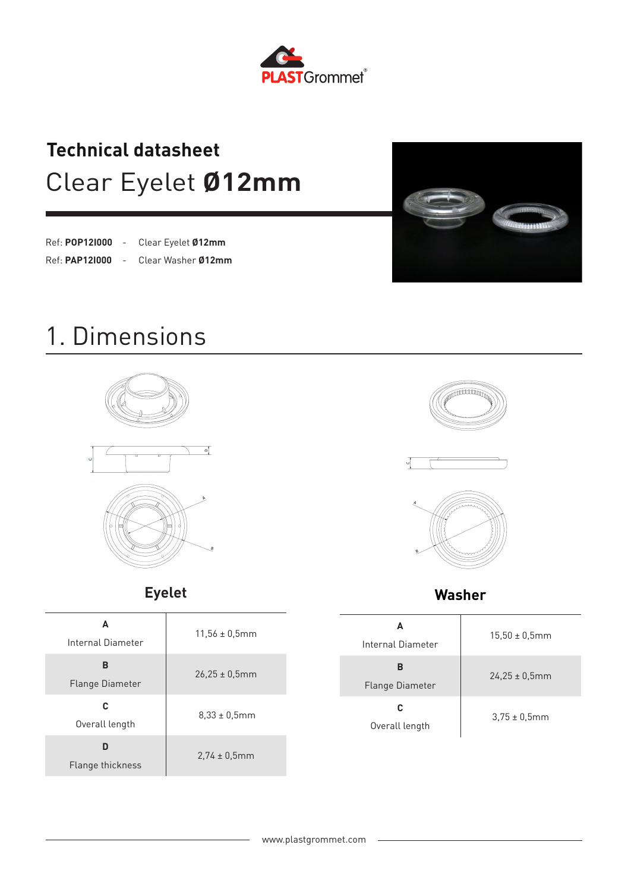

### Clear Eyelet **Ø12mm Technical datasheet**

| Ref: POP121000 | Clear Eyelet Ø12mm |
|----------------|--------------------|
| Ref: PAP121000 | Clear Washer 012mm |



### 1. Dimensions





**Eyelet**

| A<br>Internal Diameter      | $11.56 \pm 0.5$ mm |
|-----------------------------|--------------------|
| в<br><b>Flange Diameter</b> | $26.25 \pm 0.5$ mm |
| C<br>Overall length         | $8,33 \pm 0,5$ mm  |
| D<br>Flange thickness       | $2.74 \pm 0.5$ mm  |







**Washer**

| A<br>Internal Diameter | $15.50 \pm 0.5$ mm |
|------------------------|--------------------|
| в<br>Flange Diameter   | $24.25 \pm 0.5$ mm |
| c<br>Overall length    | $3,75 \pm 0,5$ mm  |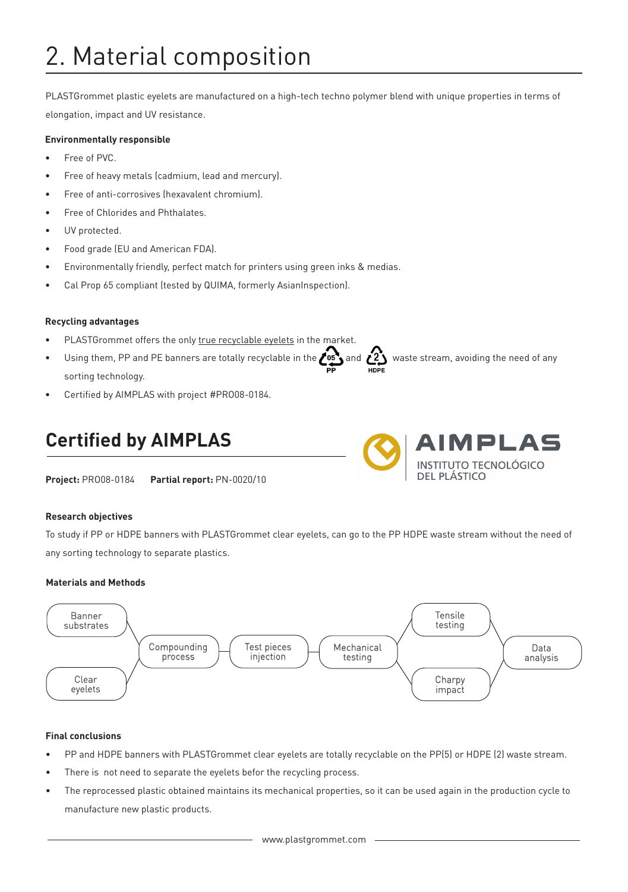# 2. Material composition

PLASTGrommet plastic eyelets are manufactured on a high-tech techno polymer blend with unique properties in terms of elongation, impact and UV resistance.

#### **Environmentally responsible**

- Free of PVC.
- Free of heavy metals (cadmium, lead and mercury).
- Free of anti-corrosives (hexavalent chromium).
- Free of Chlorides and Phthalates.
- UV protected.
- Food grade (EU and American FDA).
- Environmentally friendly, perfect match for printers using green inks & medias.
- Cal Prop 65 compliant (tested by QUIMA, formerly AsianInspection).

#### **Recycling advantages**

- PLASTGrommet offers the only true recyclable eyelets in the market.
- Using them, PP and PE banners are totally recyclable in the  $\bullet$ <sup>05</sup> and  $\bullet$ <sup>2</sup> waste stream, avoiding the need of any sorting technology.
- Certified by AIMPLAS with project #PRO08-0184.

### **Certified by AIMPLAS**

**Project:** PRO08-0184 **Partial report:** PN-0020/10

#### **Research objectives**

To study if PP or HDPE banners with PLASTGrommet clear eyelets, can go to the PP HDPE waste stream without the need of any sorting technology to separate plastics.

MPLAS

**INSTITUTO TECNOLÓGICO** 

#### **Materials and Methods**



#### **Final conclusions**

- PP and HDPE banners with PLASTGrommet clear eyelets are totally recyclable on the PP(5) or HDPE (2) waste stream.
- There is not need to separate the eyelets befor the recycling process.
- The reprocessed plastic obtained maintains its mechanical properties, so it can be used again in the production cycle to manufacture new plastic products.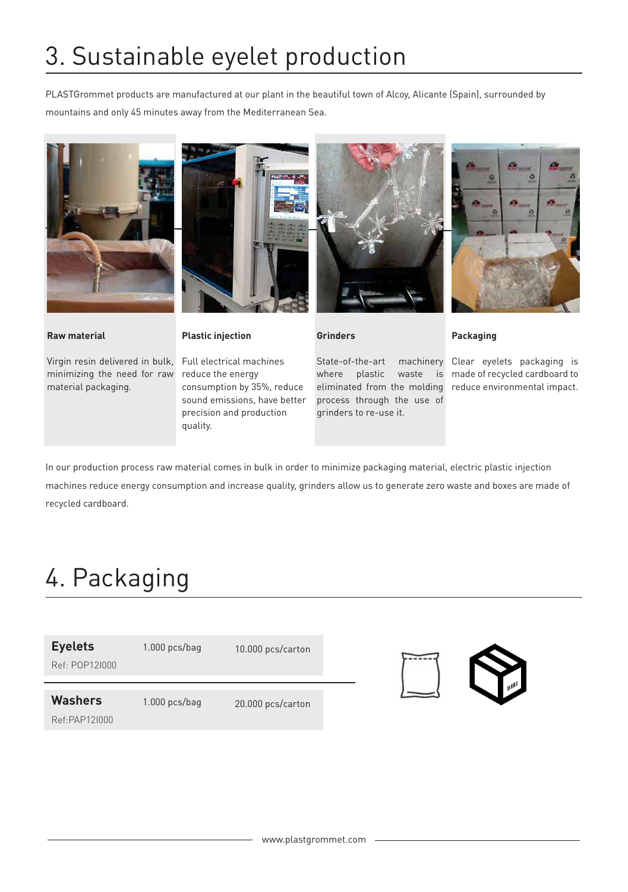# 3. Sustainable eyelet production

PLASTGrommet products are manufactured at our plant in the beautiful town of Alcoy, Alicante (Spain), surrounded by mountains and only 45 minutes away from the Mediterranean Sea.





Virgin resin delivered in bulk, Full electrical machines minimizing the need for raw material packaging.



**Plastic injection**

reduce the energy consumption by 35%, reduce sound emissions, have better precision and production quality.



**Grinders**

State-of-the-art where plastic waste is eliminated from the molding process through the use of grinders to re-use it.



#### **Packaging**

machinery Clear eyelets packaging is made of recycled cardboard to reduce environmental impact.

In our production process raw material comes in bulk in order to minimize packaging material, electric plastic injection machines reduce energy consumption and increase quality, grinders allow us to generate zero waste and boxes are made of recycled cardboard.

### 4. Packaging

| <b>Eyelets</b><br>$Ref·$ $POP12$ $1000$ | $1.000$ pcs/bag | 10.000 pcs/carton |
|-----------------------------------------|-----------------|-------------------|
| <b>Washers</b>                          | $1.000$ pcs/bag | 20.000 pcs/carton |
| Ref:PAP121000                           |                 |                   |

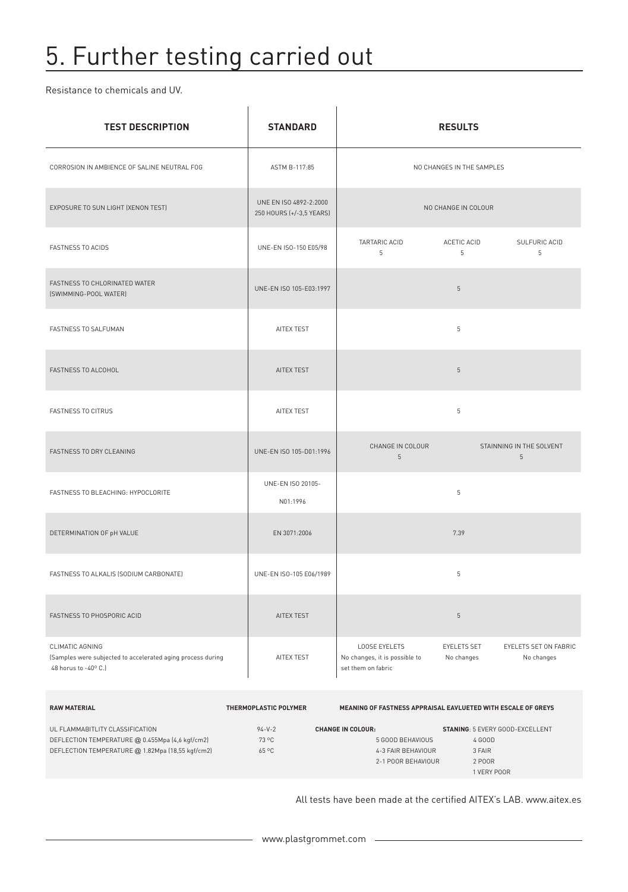## 5. Further testing carried out

Resistance to chemicals and UV.

| <b>TEST DESCRIPTION</b>                                                                                | <b>STANDARD</b>                                    | <b>RESULTS</b>                                                              |                                  |                                             |  |
|--------------------------------------------------------------------------------------------------------|----------------------------------------------------|-----------------------------------------------------------------------------|----------------------------------|---------------------------------------------|--|
| CORROSION IN AMBIENCE OF SALINE NEUTRAL FOG                                                            | ASTM B-117:85                                      |                                                                             | NO CHANGES IN THE SAMPLES        |                                             |  |
| EXPOSURE TO SUN LIGHT (XENON TEST)                                                                     | UNE EN ISO 4892-2:2000<br>250 HOURS (+/-3,5 YEARS) |                                                                             | NO CHANGE IN COLOUR              |                                             |  |
| <b>FASTNESS TO ACIDS</b>                                                                               | UNE-EN ISO-150 E05/98                              | TARTARIC ACID<br>$5\,$                                                      | ACETIC ACID<br>5                 | SULFURIC ACID<br>5                          |  |
| FASTNESS TO CHLORINATED WATER<br>(SWIMMING-POOL WATER)                                                 | UNE-EN ISO 105-E03:1997                            |                                                                             | $5\,$                            |                                             |  |
| FASTNESS TO SALFUMAN                                                                                   | AITEX TEST                                         |                                                                             | 5                                |                                             |  |
| FASTNESS TO ALCOHOL                                                                                    | <b>AITEX TEST</b>                                  |                                                                             | 5                                |                                             |  |
| <b>FASTNESS TO CITRUS</b>                                                                              | AITEX TEST                                         |                                                                             | 5                                |                                             |  |
| FASTNESS TO DRY CLEANING                                                                               | UNE-EN ISO 105-D01:1996                            | CHANGE IN COLOUR<br>$5\phantom{.0}$                                         |                                  | STAINNING IN THE SOLVENT<br>$5\phantom{.0}$ |  |
| FASTNESS TO BLEACHING: HYPOCLORITE                                                                     | UNE-EN ISO 20105-<br>N01:1996                      |                                                                             | 5                                |                                             |  |
| DETERMINATION OF pH VALUE                                                                              | EN 3071:2006                                       |                                                                             | 7.39                             |                                             |  |
| FASTNESS TO ALKALIS (SODIUM CARBONATE)                                                                 | UNE-EN ISO-105 E06/1989                            |                                                                             | 5                                |                                             |  |
| FASTNESS TO PHOSPORIC ACID                                                                             | AITEX TEST                                         |                                                                             | $5\,$                            |                                             |  |
| CLIMATIC AGNING<br>(Samples were subjected to accelerated aging process during<br>48 horus to -40° C.) | AITEX TEST                                         | <b>LOOSE EYELETS</b><br>No changes, it is possible to<br>set them on fabric | <b>EYELETS SET</b><br>No changes | EYELETS SET ON FABRIC<br>No changes         |  |

| <b>RAW MATERIAL</b>                              | THERMOPLASTIC POLYMER |                          | MEANING OF FASTNESS APPRAISAL EAVLUETED WITH ESCALE OF GREYS |
|--------------------------------------------------|-----------------------|--------------------------|--------------------------------------------------------------|
| UL FLAMMABITLITY CLASSIFICATION                  | $94 - V - 2$          | <b>CHANGE IN COLOUR:</b> | <b>STANING: 5 EVERY GOOD-EXCELLENT</b>                       |
| DEFLECTION TEMPERATURE @ 0.455Mpa (4,6 kgf/cm2)  | 73 °C                 | 5 GOOD BEHAVIOUS         | 4 GOOD                                                       |
| DEFLECTION TEMPERATURE @ 1.82Mpa (18,55 kgf/cm2) | $65^{\circ}$ C        | 4-3 FAIR BEHAVIOUR       | 3 FAIR                                                       |
|                                                  |                       | 2-1 POOR BEHAVIOUR       | 2 P00R                                                       |
|                                                  |                       |                          | 1 VERY POOR                                                  |

All tests have been made at the certified AITEX's LAB. www.aitex.es